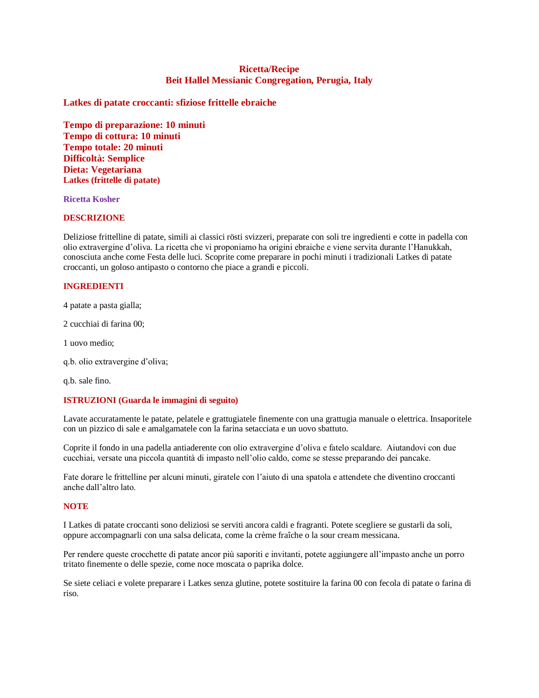# **Ricetta/Recipe Beit Hallel Messianic Congregation, Perugia, Italy**

## **Latkes di patate croccanti: sfiziose frittelle ebraiche**

**Tempo di preparazione: 10 minuti Tempo di cottura: 10 minuti Tempo totale: 20 minuti Difficoltà: Semplice Dieta: Vegetariana Latkes (frittelle di patate)** 

**Ricetta Kosher**

## **DESCRIZIONE**

Deliziose frittelline di patate, simili ai classici rösti svizzeri, preparate con soli tre ingredienti e cotte in padella con olio extravergine d'oliva. La ricetta che vi proponiamo ha origini ebraiche e viene servita durante l'Hanukkah, conosciuta anche come Festa delle luci. Scoprite come preparare in pochi minuti i tradizionali Latkes di patate croccanti, un goloso antipasto o contorno che piace a grandi e piccoli.

#### **INGREDIENTI**

4 patate a pasta gialla;

2 cucchiai di farina 00;

1 uovo medio;

q.b. olio extravergine d'oliva;

q.b. sale fino.

## **ISTRUZIONI (Guarda le immagini di seguito)**

Lavate accuratamente le patate, pelatele e grattugiatele finemente con una grattugia manuale o elettrica. Insaporitele con un pizzico di sale e amalgamatele con la farina setacciata e un uovo sbattuto.

Coprite il fondo in una padella antiaderente con olio extravergine d'oliva e fatelo scaldare. Aiutandovi con due cucchiai, versate una piccola quantità di impasto nell'olio caldo, come se stesse preparando dei pancake.

Fate dorare le frittelline per alcuni minuti, giratele con l'aiuto di una spatola e attendete che diventino croccanti anche dall'altro lato.

#### **NOTE**

I Latkes di patate croccanti sono deliziosi se serviti ancora caldi e fragranti. Potete scegliere se gustarli da soli, oppure accompagnarli con una salsa delicata, come la crème fraîche o la sour cream messicana.

Per rendere queste crocchette di patate ancor più saporiti e invitanti, potete aggiungere all'impasto anche un porro tritato finemente o delle spezie, come noce moscata o paprika dolce.

Se siete celiaci e volete preparare i Latkes senza glutine, potete sostituire la farina 00 con fecola di patate o farina di riso.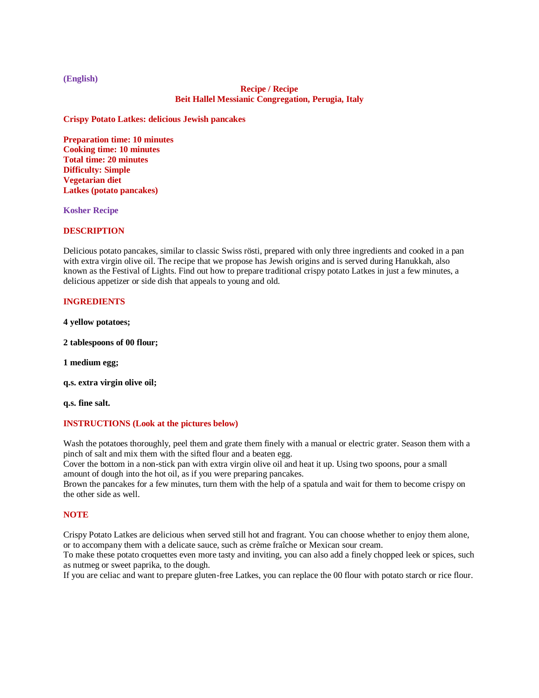**(English)**

### **Recipe / Recipe Beit Hallel Messianic Congregation, Perugia, Italy**

#### **Crispy Potato Latkes: delicious Jewish pancakes**

**Preparation time: 10 minutes Cooking time: 10 minutes Total time: 20 minutes Difficulty: Simple Vegetarian diet Latkes (potato pancakes)**

**Kosher Recipe**

#### **DESCRIPTION**

Delicious potato pancakes, similar to classic Swiss rösti, prepared with only three ingredients and cooked in a pan with extra virgin olive oil. The recipe that we propose has Jewish origins and is served during Hanukkah, also known as the Festival of Lights. Find out how to prepare traditional crispy potato Latkes in just a few minutes, a delicious appetizer or side dish that appeals to young and old.

#### **INGREDIENTS**

**4 yellow potatoes;**

**2 tablespoons of 00 flour;**

**1 medium egg;**

**q.s. extra virgin olive oil;**

**q.s. fine salt.**

#### **INSTRUCTIONS (Look at the pictures below)**

Wash the potatoes thoroughly, peel them and grate them finely with a manual or electric grater. Season them with a pinch of salt and mix them with the sifted flour and a beaten egg.

Cover the bottom in a non-stick pan with extra virgin olive oil and heat it up. Using two spoons, pour a small amount of dough into the hot oil, as if you were preparing pancakes.

Brown the pancakes for a few minutes, turn them with the help of a spatula and wait for them to become crispy on the other side as well.

#### **NOTE**

Crispy Potato Latkes are delicious when served still hot and fragrant. You can choose whether to enjoy them alone, or to accompany them with a delicate sauce, such as crème fraîche or Mexican sour cream.

To make these potato croquettes even more tasty and inviting, you can also add a finely chopped leek or spices, such as nutmeg or sweet paprika, to the dough.

If you are celiac and want to prepare gluten-free Latkes, you can replace the 00 flour with potato starch or rice flour.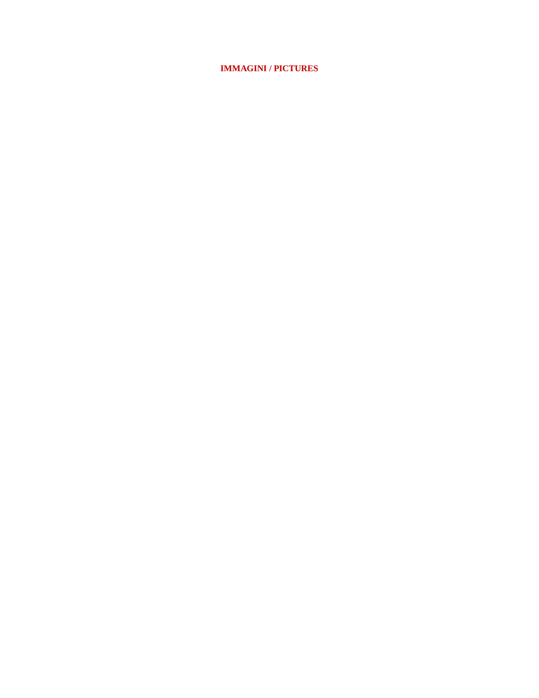# **IMMAGINI / PICTURES**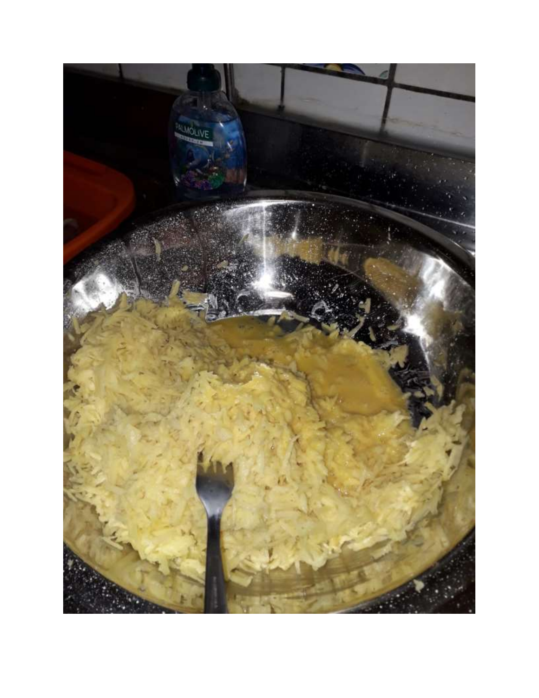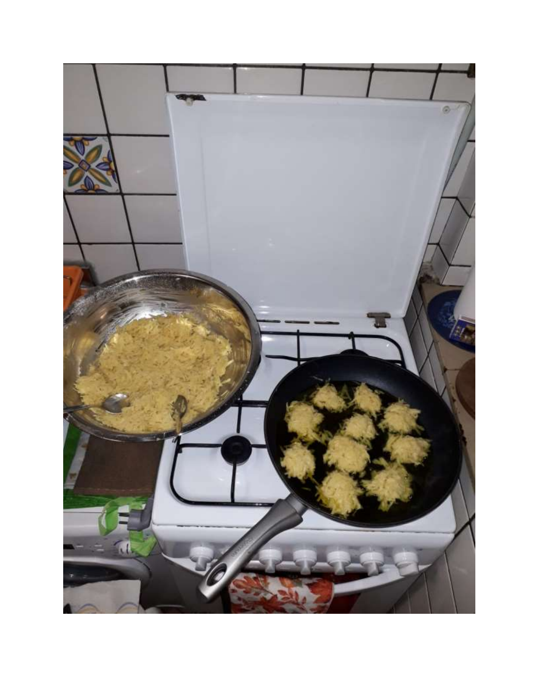